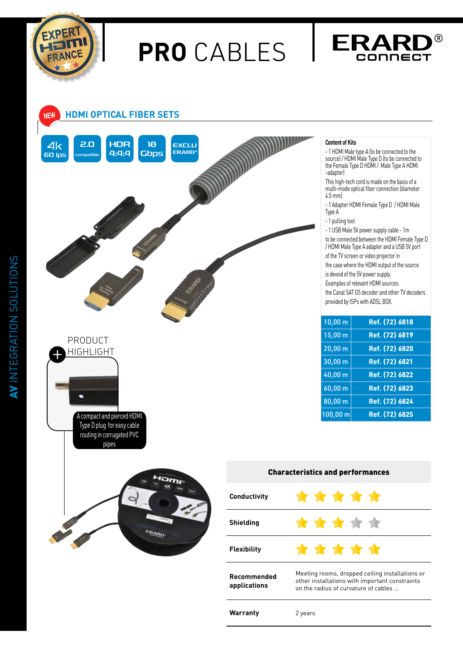

## **PRO** CABLES







A compact and pierced HDMI Type D plug for easy cable routing in corrugated PVC pipes

с



## Characteristics and performances \* \* \* \* \* **Conductivity** \*\*\*\*\* **Shielding Flexibility** \* \* \* \* \* Meeting rooms, dropped ceiling installations or

Warranty 2 years

**Content of Kits**

- 1 HDMI Male type A (to be connected to the source) / HDMI Male Type D (to be connected to the Female Type D HDMI / Male Type A HDMI -adapter)

This high-tech cord is made on the basis of a multi-mode optical fiber connection (diameter 4.5 mm)

- 1 Adapter HDMI Female Type D / HDMI Male Type A
- 1 pulling tool

- 1 USB Male 5V power supply cable - 1m to be connected between the HDMI Female Type D / HDMI Male Type A adapter and a USB 5V port

of the TV screen or video projector in

the case where the HDMI output of the source is devoid of the 5V power supply.

Examples of relevant HDMI sources:

the Canal SAT G5 decoder and other TV decoders provided by ISPs with ADSL BOX.

| 10,00 m             | Ref. (72) 6818 |
|---------------------|----------------|
| 15,00 m             | Ref. (72) 6819 |
| $20,00 \, \text{m}$ | Ref. (72) 6820 |
| 30,00 m             | Ref. (72) 6821 |
| 40,00 m             | Ref. (72) 6822 |
| 60,00 m             | Ref. (72) 6823 |
| 80,00 m             | Ref. (72) 6824 |
| 100,00 m            | Ref. (72) 6825 |